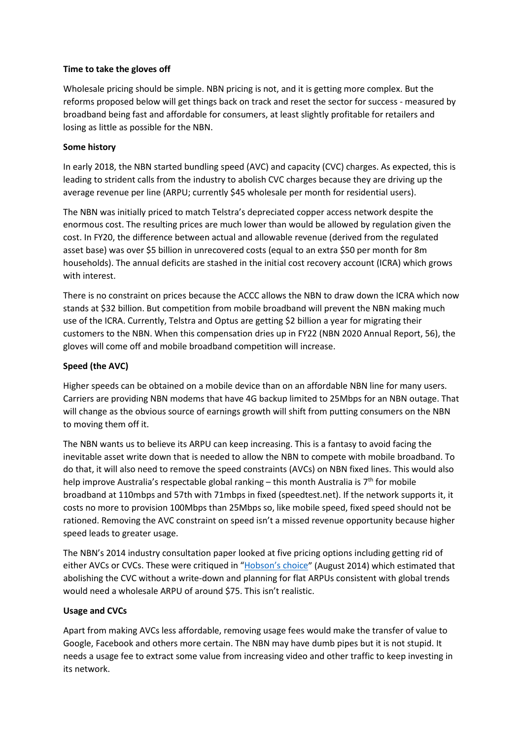### **Time to take the gloves off**

Wholesale pricing should be simple. NBN pricing is not, and it is getting more complex. But the reforms proposed below will get things back on track and reset the sector for success - measured by broadband being fast and affordable for consumers, at least slightly profitable for retailers and losing as little as possible for the NBN.

### **Some history**

In early 2018, the NBN started bundling speed (AVC) and capacity (CVC) charges. As expected, this is leading to strident calls from the industry to abolish CVC charges because they are driving up the average revenue per line (ARPU; currently \$45 wholesale per month for residential users).

The NBN was initially priced to match Telstra's depreciated copper access network despite the enormous cost. The resulting prices are much lower than would be allowed by regulation given the cost. In FY20, the difference between actual and allowable revenue (derived from the regulated asset base) was over \$5 billion in unrecovered costs (equal to an extra \$50 per month for 8m households). The annual deficits are stashed in the initial cost recovery account (ICRA) which grows with interest.

There is no constraint on prices because the ACCC allows the NBN to draw down the ICRA which now stands at \$32 billion. But competition from mobile broadband will prevent the NBN making much use of the ICRA. Currently, Telstra and Optus are getting \$2 billion a year for migrating their customers to the NBN. When this compensation dries up in FY22 (NBN 2020 Annual Report, 56), the gloves will come off and mobile broadband competition will increase.

# **Speed (the AVC)**

Higher speeds can be obtained on a mobile device than on an affordable NBN line for many users. Carriers are providing NBN modems that have 4G backup limited to 25Mbps for an NBN outage. That will change as the obvious source of earnings growth will shift from putting consumers on the NBN to moving them off it.

The NBN wants us to believe its ARPU can keep increasing. This is a fantasy to avoid facing the inevitable asset write down that is needed to allow the NBN to compete with mobile broadband. To do that, it will also need to remove the speed constraints (AVCs) on NBN fixed lines. This would also help improve Australia's respectable global ranking – this month Australia is  $7<sup>th</sup>$  for mobile broadband at 110mbps and 57th with 71mbps in fixed (speedtest.net). If the network supports it, it costs no more to provision 100Mbps than 25Mbps so, like mobile speed, fixed speed should not be rationed. Removing the AVC constraint on speed isn't a missed revenue opportunity because higher speed leads to greater usage.

The NBN's 2014 industry consultation paper looked at five pricing options including getting rid of either AVCs or CVCs. These were critiqued in ["Hobson's choice"](https://deridder.com.au/wp-content/uploads/2014/08/Economuse-2014-08-14.pdf) (August 2014) which estimated that abolishing the CVC without a write-down and planning for flat ARPUs consistent with global trends would need a wholesale ARPU of around \$75. This isn't realistic.

# **Usage and CVCs**

Apart from making AVCs less affordable, removing usage fees would make the transfer of value to Google, Facebook and others more certain. The NBN may have dumb pipes but it is not stupid. It needs a usage fee to extract some value from increasing video and other traffic to keep investing in its network.